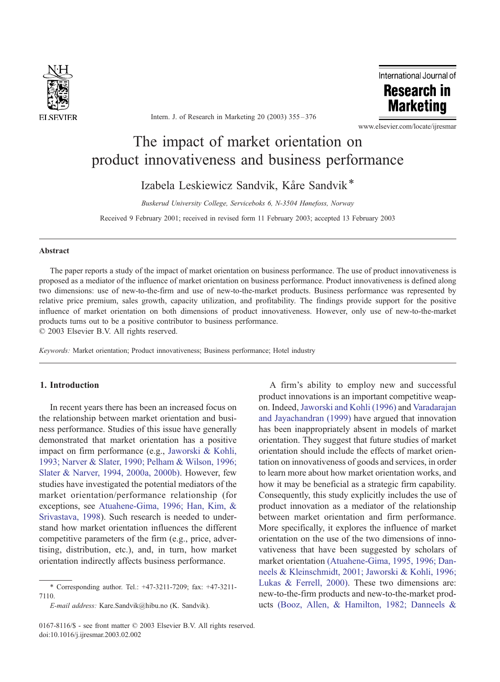

Intern. J. of Research in Marketing 20 (2003) 355 – 376



www.elsevier.com/locate/ijresmar

# The impact of market orientation on product innovativeness and business performance

Izabela Leskiewicz Sandvik, Kåre Sandvik<sup>\*</sup>

Buskerud University College, Serviceboks 6, N-3504 Hønefoss, Norway

Received 9 February 2001; received in revised form 11 February 2003; accepted 13 February 2003

#### Abstract

The paper reports a study of the impact of market orientation on business performance. The use of product innovativeness is proposed as a mediator of the influence of market orientation on business performance. Product innovativeness is defined along two dimensions: use of new-to-the-firm and use of new-to-the-market products. Business performance was represented by relative price premium, sales growth, capacity utilization, and profitability. The findings provide support for the positive influence of market orientation on both dimensions of product innovativeness. However, only use of new-to-the-market products turns out to be a positive contributor to business performance.  $© 2003 Elsevier B.V. All rights reserved.$ 

Keywords: Market orientation; Product innovativeness; Business performance; Hotel industry

### 1. Introduction

In recent years there has been an increased focus on the relationship between market orientation and business performance. Studies of this issue have generally demonstrated that market orientation has a positive impact on firm performance (e.g., [Jaworski & Kohli,](#page--1-0) 1993; Narver & Slater, 1990; Pelham & Wilson, 1996; Slater & Narver, 1994, 2000a, 2000b). However, few studies have investigated the potential mediators of the market orientation/performance relationship (for exceptions, see [Atuahene-Gima, 1996; Han, Kim, &](#page--1-0) Srivastava, 1998). Such research is needed to understand how market orientation influences the different competitive parameters of the firm (e.g., price, advertising, distribution, etc.), and, in turn, how market orientation indirectly affects business performance.

on. Indeed, [Jaworski and Kohli \(1996\)](#page--1-0) and [Varadarajan](#page--1-0) and Jayachandran (1999) have argued that innovation has been inappropriately absent in models of market orientation. They suggest that future studies of market orientation should include the effects of market orientation on innovativeness of goods and services, in order to learn more about how market orientation works, and how it may be beneficial as a strategic firm capability. Consequently, this study explicitly includes the use of product innovation as a mediator of the relationship between market orientation and firm performance. More specifically, it explores the influence of market orientation on the use of the two dimensions of innovativeness that have been suggested by scholars of market orientation [\(Atuahene-Gima, 1995, 1996; Dan](#page--1-0)neels & Kleinschmidt, 2001; Jaworski & Kohli, 1996; Lukas & Ferrell, 2000). These two dimensions are: new-to-the-firm products and new-to-the-market products [\(Booz, Allen, & Hamilton, 1982; Danneels &](#page--1-0)

A firm's ability to employ new and successful product innovations is an important competitive weap-

<sup>\*</sup> Corresponding author. Tel.: +47-3211-7209; fax: +47-3211- 7110.

E-mail address: Kare.Sandvik@hibu.no (K. Sandvik).

<sup>0167-8116/\$ -</sup> see front matter © 2003 Elsevier B.V. All rights reserved. doi:10.1016/j.ijresmar.2003.02.002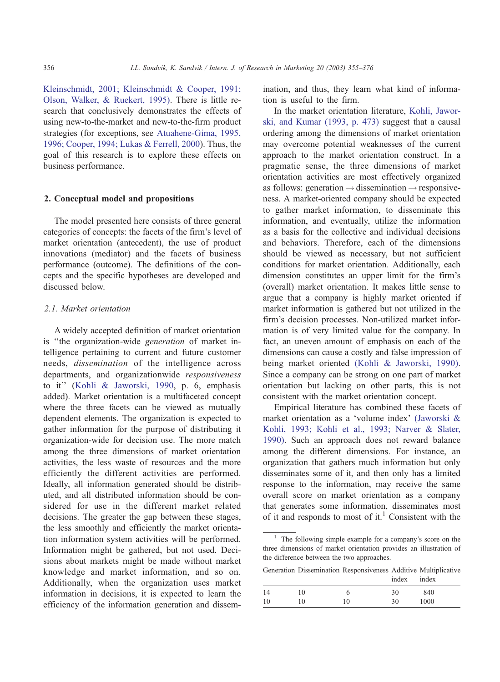Kleinschmidt, 2001; Kleinschmidt & Cooper, 1991; Olson, Walker, & Ruekert, 1995). There is little research that conclusively demonstrates the effects of using new-to-the-market and new-to-the-firm product strategies (for exceptions, see [Atuahene-Gima, 1995,](#page--1-0) 1996; Cooper, 1994; Lukas & Ferrell, 2000). Thus, the goal of this research is to explore these effects on business performance.

### 2. Conceptual model and propositions

The model presented here consists of three general categories of concepts: the facets of the firm's level of market orientation (antecedent), the use of product innovations (mediator) and the facets of business performance (outcome). The definitions of the concepts and the specific hypotheses are developed and discussed below.

### 2.1. Market orientation

A widely accepted definition of market orientation is ''the organization-wide generation of market intelligence pertaining to current and future customer needs, dissemination of the intelligence across departments, and organizationwide responsiveness to it'' ([Kohli & Jaworski, 1990,](#page--1-0) p. 6, emphasis added). Market orientation is a multifaceted concept where the three facets can be viewed as mutually dependent elements. The organization is expected to gather information for the purpose of distributing it organization-wide for decision use. The more match among the three dimensions of market orientation activities, the less waste of resources and the more efficiently the different activities are performed. Ideally, all information generated should be distributed, and all distributed information should be considered for use in the different market related decisions. The greater the gap between these stages, the less smoothly and efficiently the market orientation information system activities will be performed. Information might be gathered, but not used. Decisions about markets might be made without market knowledge and market information, and so on. Additionally, when the organization uses market information in decisions, it is expected to learn the efficiency of the information generation and dissemination, and thus, they learn what kind of information is useful to the firm.

In the market orientation literature, [Kohli, Jawor](#page--1-0)ski, and Kumar (1993, p. 473) suggest that a causal ordering among the dimensions of market orientation may overcome potential weaknesses of the current approach to the market orientation construct. In a pragmatic sense, the three dimensions of market orientation activities are most effectively organized as follows: generation  $\rightarrow$  dissemination  $\rightarrow$  responsiveness. A market-oriented company should be expected to gather market information, to disseminate this information, and eventually, utilize the information as a basis for the collective and individual decisions and behaviors. Therefore, each of the dimensions should be viewed as necessary, but not sufficient conditions for market orientation. Additionally, each dimension constitutes an upper limit for the firm's (overall) market orientation. It makes little sense to argue that a company is highly market oriented if market information is gathered but not utilized in the firm's decision processes. Non-utilized market information is of very limited value for the company. In fact, an uneven amount of emphasis on each of the dimensions can cause a costly and false impression of being market oriented [\(Kohli & Jaworski, 1990\).](#page--1-0) Since a company can be strong on one part of market orientation but lacking on other parts, this is not consistent with the market orientation concept.

Empirical literature has combined these facets of market orientation as a 'volume index' [\(Jaworski &](#page--1-0) Kohli, 1993; Kohli et al., 1993; Narver & Slater, 1990). Such an approach does not reward balance among the different dimensions. For instance, an organization that gathers much information but only disseminates some of it, and then only has a limited response to the information, may receive the same overall score on market orientation as a company that generates some information, disseminates most of it and responds to most of it.<sup>1</sup> Consistent with the

<sup>&</sup>lt;sup>1</sup> The following simple example for a company's score on the three dimensions of market orientation provides an illustration of the difference between the two approaches.

|    |    | Generation Dissemination Responsiveness Additive Multiplicative | index | index |
|----|----|-----------------------------------------------------------------|-------|-------|
| 14 | 10 |                                                                 | 30    | 840   |
| 10 | 10 | 10                                                              | 30    | 1000  |